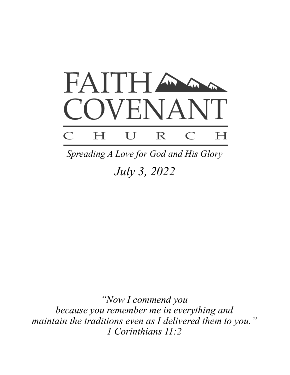

*July 3, 2022 Spreading A Love for God and His Glory*

*"Now I commend you because you remember me in everything and maintain the traditions even as I delivered them to you." 1 Corinthians 11:2*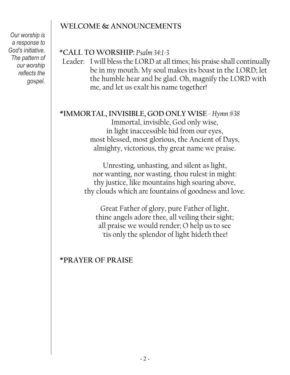## **WELCOME & ANNOUNCEMENTS**

*Our worship is a response to God's initiative. The pattern of our worship reflects the go*s*pel.*

## \***CALL TO WORSHIP:** *Psalm 34:1-3*

Leader: I will bless the LORD at all times; his praise shall continually be in my mouth. My soul makes its boast in the LORD; let the humble hear and be glad. Oh, magnify the LORD with me, and let us exalt his name together!

# **\*IMMORTAL, INVISIBLE, GOD ONLY WISE** *- Hymn #38*

Immortal, invisible, God only wise, in light inaccessible hid from our eyes, most blessed, most glorious, the Ancient of Days, almighty, victorious, thy great name we praise.

Unresting, unhasting, and silent as light, nor wanting, nor wasting, thou rulest in might: thy justice, like mountains high soaring above, thy clouds which are fountains of goodness and love.

Great Father of glory, pure Father of light, thine angels adore thee, all veiling their sight; all praise we would render; O help us to see 'tis only the splendor of light hideth thee!

**\*PRAYER OF PRAISE**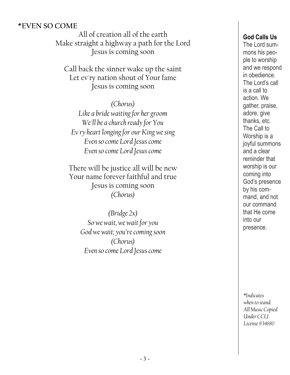#### **\*EVEN SO COME**

All of creation all of the earth Make straight a highway a path for the Lord Jesus is coming soon

Call back the sinner wake up the saint Let ev'ry nation shout of Your fame Jesus is coming soon

*(Chorus) Like a bride waiting for her groom We'll be a church ready for You Ev'ry heart longing for our King we sing Even so come Lord Jesus come Even so come Lord Jesus come*

There will be justice all will be new Your name forever faithful and true Jesus is coming soon *(Chorus)*

> *(Bridge 2x) So we wait, we wait for you God we wait; you're coming soon (Chorus) Even so come Lord Jesus come*

#### **God Calls Us**

The Lord summons his people to worship and we respond in obedience. The Lord's call is a call to action. We gather, praise, adore, give thanks, etc. The Call to Worship is a joyful summons and a clear reminder that worship is our coming into God's presence by his command, and not our command that He come into our presence.

*\*Indicates when to stand. All Music Copied Under CCLI License #34680*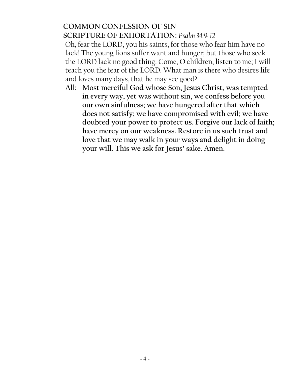# **COMMON CONFESSION OF SIN SCRIPTURE OF EXHORTATION:** *Psalm 34:9-12*

Oh, fear the LORD, you his saints, for those who fear him have no lack! The young lions suffer want and hunger; but those who seek the LORD lack no good thing. Come, O children, listen to me; I will teach you the fear of the LORD. What man is there who desires life and loves many days, that he may see good?

**All: Most merciful God whose Son, Jesus Christ, was tempted in every way, yet was without sin, we confess before you our own sinfulness; we have hungered after that which does not satisfy; we have compromised with evil; we have doubted your power to protect us. Forgive our lack of faith; have mercy on our weakness. Restore in us such trust and love that we may walk in your ways and delight in doing your will. This we ask for Jesus' sake. Amen.**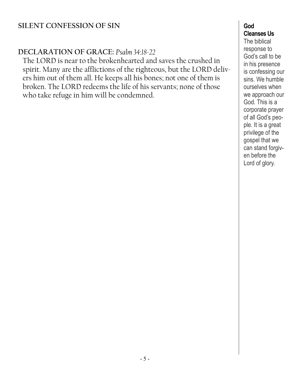# **DECLARATION OF GRACE:** *Psalm 34:18-22*

The LORD is near to the brokenhearted and saves the crushed in spirit. Many are the afflictions of the righteous, but the LORD delivers him out of them all. He keeps all his bones; not one of them is broken. The LORD redeems the life of his servants; none of those who take refuge in him will be condemned.

#### **God Cleanses Us**

The biblical response to God's call to be in his presence is confessing our sins. We humble ourselves when we approach our God. This is a corporate prayer of all God's people. It is a great privilege of the gospel that we can stand forgiven before the Lord of glory.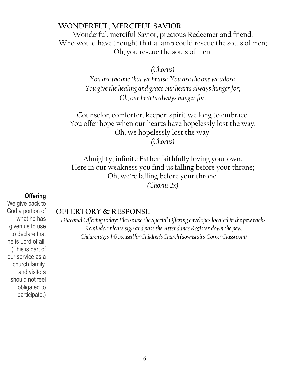## **WONDERFUL, MERCIFUL SAVIOR**

Wonderful, merciful Savior, precious Redeemer and friend. Who would have thought that a lamb could rescue the souls of men; Oh, you rescue the souls of men.

*(Chorus)*

*You are the one that we praise. You are the one we adore. You give the healing and grace our hearts always hunger for; Oh, our hearts always hunger for.*

Counselor, comforter, keeper; spirit we long to embrace. You offer hope when our hearts have hopelessly lost the way; Oh, we hopelessly lost the way. *(Chorus)*

Almighty, infinite Father faithfully loving your own. Here in our weakness you find us falling before your throne; Oh, we're falling before your throne. *(Chorus 2x)*

### **Offering**

We give back to God a portion of what he has given us to use to declare that he is Lord of all. (This is part of our service as a church family, and visitors should not feel obligated to participate.)

### **OFFERTORY & RESPONSE**

*Diaconal Offering today: Please use the Special Offering envelopes located in the pew racks. Reminder: please sign and pass the Attendance Register down the pew. Children ages 4-6 excused for Children's Church (downstairs Corner Classroom)*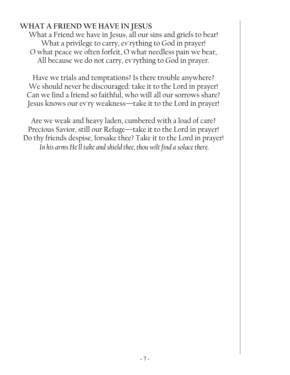## **WHAT A FRIEND WE HAVE IN JESUS**

What a Friend we have in Jesus, all our sins and griefs to bear! What a privilege to carry, ev'rything to God in prayer! O what peace we often forfeit, O what needless pain we bear, All because we do not carry, ev'rything to God in prayer.

Have we trials and temptations? Is there trouble anywhere? We should never be discouraged: take it to the Lord in prayer! Can we find a friend so faithful, who will all our sorrows share? Jesus knows our ev'ry weakness—take it to the Lord in prayer!

Are we weak and heavy laden, cumbered with a load of care? Precious Savior, still our Refuge—take it to the Lord in prayer! Do thy friends despise, forsake thee? Take it to the Lord in prayer! *In his arms He'll take and shield thee, thou wilt find a solace there.*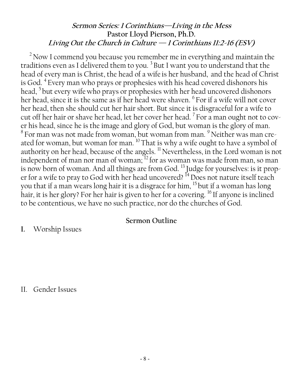## **Sermon Series: 1 Corinthians—Living in the Mess Pastor Lloyd Pierson, Ph.D. Living Out the Church in Culture — 1 Corinthians 11:2-16 (ESV)**

 $2$  Now I commend you because you remember me in everything and maintain the traditions even as I delivered them to you.<sup>3</sup> But I want you to understand that the head of every man is Christ, the head of a wife is her husband, and the head of Christ is God. <sup>4</sup> Every man who prays or prophesies with his head covered dishonors his head, <sup>5</sup> but every wife who prays or prophesies with her head uncovered dishonors her head, since it is the same as if her head were shaven. <sup>6</sup> For if a wife will not cover her head, then she should cut her hair short. But since it is disgraceful for a wife to cut off her hair or shave her head, let her cover her head.  $^7$  For a man ought not to cover his head, since he is the image and glory of God, but woman is the glory of man. <sup>8</sup> For man was not made from woman, but woman from man. <sup>9</sup> Neither was man created for woman, but woman for man.  $^{10}$  That is why a wife ought to have a symbol of authority on her head, because of the angels.  $^{\text{II}}$  Nevertheless, in the Lord woman is not independent of man nor man of woman; <sup>12</sup> for as woman was made from man, so man is now born of woman. And all things are from God.  $^{13}$  Judge for yourselves: is it proper for a wife to pray to God with her head uncovered? <sup>14</sup> Does not nature itself teach you that if a man wears long hair it is a disgrace for him, <sup>15</sup> but if a woman has long hair, it is her glory? For her hair is given to her for a covering. <sup>16</sup> If anyone is inclined to be contentious, we have no such practice, nor do the churches of God.

### **Sermon Outline**

**I.** Worship Issues

II. Gender Issues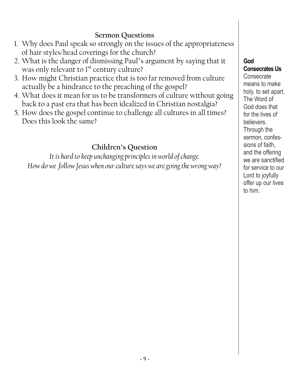## **Sermon Questions**

- 1. Why does Paul speak so strongly on the issues of the appropriateness of hair styles/head coverings for the church?
- 2. What is the danger of dismissing Paul's argument by saying that it was only relevant to  $1<sup>st</sup>$  century culture?
- 3. How might Christian practice that is too far removed from culture actually be a hindrance to the preaching of the gospel?
- 4. What does it mean for us to be transformers of culture without going back to a past era that has been idealized in Christian nostalgia?
- 5. How does the gospel continue to challenge all cultures in all times? Does this look the same?

# **Children's Question**

*It is hard to keep unchanging principles in world of change. How do we follow Jesus when our culture says we are going the wrong way?*

# **God**

#### **Consecrates Us Consecrate** means to make holy, to set apart. The Word of God does that for the lives of believers. Through the sermon, confessions of faith, and the offering we are sanctified for service to our Lord to joyfully offer up our lives

to him.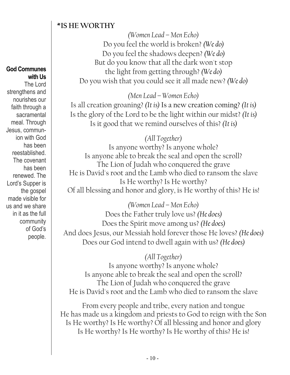## **\*IS HE WORTHY**

*(Women Lead – Men Echo)* Do you feel the world is broken? *(We do)* Do you feel the shadows deepen? *(We do)* But do you know that all the dark won't stop the light from getting through? *(We do)* Do you wish that you could see it all made new? *(We do)*

*(Men Lead – Women Echo)*

Is all creation groaning? *(It is)* Is a new creation coming? *(It is)* Is the glory of the Lord to be the light within our midst? *(It is)* Is it good that we remind ourselves of this? *(It is)*

*(All Together)*

Is anyone worthy? Is anyone whole? Is anyone able to break the seal and open the scroll? The Lion of Judah who conquered the grave He is David's root and the Lamb who died to ransom the slave Is He worthy? Is He worthy? Of all blessing and honor and glory, is He worthy of this? He is!

*(Women Lead – Men Echo)* Does the Father truly love us? *(He does)* Does the Spirit move among us? *(He does)* And does Jesus, our Messiah hold forever those He loves? *(He does)* Does our God intend to dwell again with us? *(He does)*

*(All Together)*

Is anyone worthy? Is anyone whole? Is anyone able to break the seal and open the scroll? The Lion of Judah who conquered the grave He is David's root and the Lamb who died to ransom the slave

From every people and tribe, every nation and tongue He has made us a kingdom and priests to God to reign with the Son Is He worthy? Is He worthy? Of all blessing and honor and glory Is He worthy? Is He worthy? Is He worthy of this? He is!

#### **God Communes with Us**

The Lord strengthens and nourishes our faith through a sacramental meal. Through Jesus, communion with God has been reestablished. The covenant has been renewed. The Lord's Supper is the gospel made visible for us and we share in it as the full community of God's people.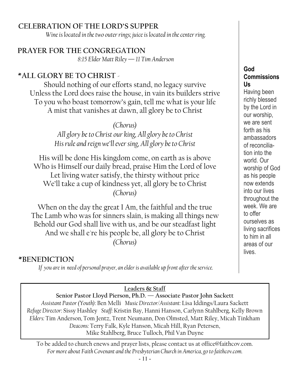## **CELEBRATION OF THE LORD'S SUPPER**

*Wine is located in the two outer rings; juice is located in the center ring.*

**PRAYER FOR THE CONGREGATION** *8:15 Elder Matt Riley —11 Tim Anderson*

# **\*ALL GLORY BE TO CHRIST** *-*

Should nothing of our efforts stand, no legacy survive Unless the Lord does raise the house, in vain its builders strive To you who boast tomorrow's gain, tell me what is your life A mist that vanishes at dawn, all glory be to Christ

> *(Chorus) All glory be to Christ our king, All glory be to Christ His rule and reign we'll ever sing, All glory be to Christ*

His will be done His kingdom come, on earth as is above Who is Himself our daily bread, praise Him the Lord of love Let living water satisfy, the thirsty without price We'll take a cup of kindness yet, all glory be to Christ *(Chorus)*

When on the day the great I Am, the faithful and the true The Lamb who was for sinners slain, is making all things new Behold our God shall live with us, and be our steadfast light And we shall e're his people be, all glory be to Christ *(Chorus)*

# **\*BENEDICTION**

*If you are in need of personal prayer, an elder is available up front after the service.*

#### **God Commissions Us**

Having been richly blessed by the Lord in our worship, we are sent forth as his ambassadors of reconciliation into the world. Our worship of God as his people now extends into our lives throughout the week. We are to offer ourselves as living sacrifices to him in all areas of our lives.

## **Leaders & Staff**

**Senior Pastor Lloyd Pierson, Ph.D. — Associate Pastor John Sackett** *Assistant Pastor (Youth):* Ben Melli *Music Director/Assistant:* Lisa Iddings/Laura Sackett *Refuge Director:* Sissy Hashley *Staff:* Kristin Bay, Hanni Hanson, Carlynn Stahlberg, Kelly Brown *Elders:* Tim Anderson*,* Tom Jentz, Trent Neumann, Don Olmsted, Matt Riley, Micah Tinkham *Deacons:* Terry Falk, Kyle Hanson, Micah Hill, Ryan Petersen, Mike Stahlberg, Bruce Tulloch, Phil Van Duyne

To be added to church enews and prayer lists, please contact us at office@faithcov.com. *For more about Faith Covenant and the Presbyterian Church in America, go to faithcov.com.*